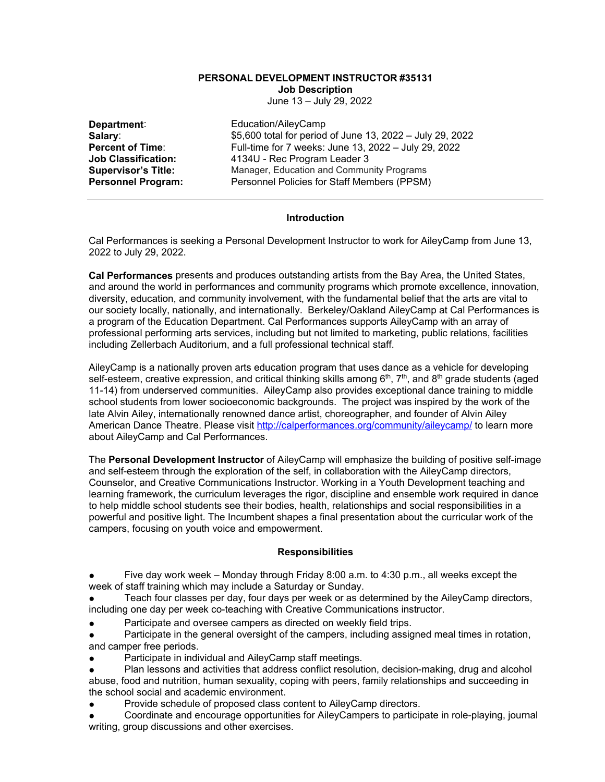# **PERSONAL DEVELOPMENT INSTRUCTOR #35131 Job Description**

June 13 – July 29, 2022

**Department:**<br> **Salary:** Education/AileyCamp<br>
\$5,600 total for period **Salary:** \$5,600 total for period of June 13, 2022 – July 29, 2022<br> **Percent of Time**: **Full-time for 7 weeks: June 13, 2022 – July 29, 2022 Percent of Time:** Full-time for 7 weeks: June 13, 2022 – July 29, 2022<br>**Job Classification:** 4134U - Rec Program Leader 3 **Job Classification:** 4134U - Rec Program Leader 3 **Supervisor's Title:** Manager, Education and Community Programs<br> **Personnel Program:** Personnel Policies for Staff Members (PPSM) Personnel Policies for Staff Members (PPSM)

# **Introduction**

Cal Performances is seeking a Personal Development Instructor to work for AileyCamp from June 13, 2022 to July 29, 2022.

**Cal Performances** presents and produces outstanding artists from the Bay Area, the United States, and around the world in performances and community programs which promote excellence, innovation, diversity, education, and community involvement, with the fundamental belief that the arts are vital to our society locally, nationally, and internationally. Berkeley/Oakland AileyCamp at Cal Performances is a program of the Education Department. Cal Performances supports AileyCamp with an array of professional performing arts services, including but not limited to marketing, public relations, facilities including Zellerbach Auditorium, and a full professional technical staff.

AileyCamp is a nationally proven arts education program that uses dance as a vehicle for developing self-esteem, creative expression, and critical thinking skills among  $6<sup>th</sup>$ ,  $7<sup>th</sup>$ , and  $8<sup>th</sup>$  grade students (aged 11-14) from underserved communities. AileyCamp also provides exceptional dance training to middle school students from lower socioeconomic backgrounds. The project was inspired by the work of the late Alvin Ailey, internationally renowned dance artist, choreographer, and founder of Alvin Ailey American Dance Theatre. Please visit<http://calperformances.org/community/aileycamp/> to learn more about AileyCamp and Cal Performances.

The **Personal Development Instructor** of AileyCamp will emphasize the building of positive self-image and self-esteem through the exploration of the self, in collaboration with the AileyCamp directors, Counselor, and Creative Communications Instructor. Working in a Youth Development teaching and learning framework, the curriculum leverages the rigor, discipline and ensemble work required in dance to help middle school students see their bodies, health, relationships and social responsibilities in a powerful and positive light. The Incumbent shapes a final presentation about the curricular work of the campers, focusing on youth voice and empowerment.

# **Responsibilities**

Five day work week – Monday through Friday 8:00 a.m. to 4:30 p.m., all weeks except the week of staff training which may include a Saturday or Sunday.

Teach four classes per day, four days per week or as determined by the AileyCamp directors, including one day per week co-teaching with Creative Communications instructor.

Participate and oversee campers as directed on weekly field trips.

Participate in the general oversight of the campers, including assigned meal times in rotation, and camper free periods.

- Participate in individual and AileyCamp staff meetings.
- Plan lessons and activities that address conflict resolution, decision-making, drug and alcohol abuse, food and nutrition, human sexuality, coping with peers, family relationships and succeeding in the school social and academic environment.
- Provide schedule of proposed class content to AileyCamp directors.

Coordinate and encourage opportunities for AileyCampers to participate in role-playing, journal writing, group discussions and other exercises.